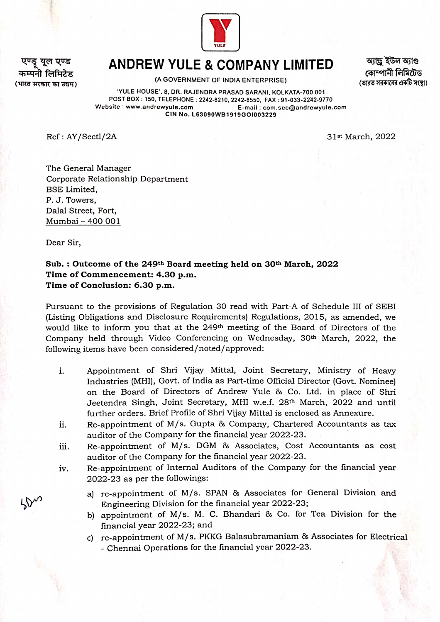

यल एण्ड यनी लिमिटेड (भारत सरकार का उद्यम)

## ANDREW YULE & COMPANY LIMITED

(A GOVERNMENT OF INDIA ENTERPRISE)

আান্ড ইউল অ্যাণ্ড কোম্পানী লিমিটেড (ভারত সরকারের একটি সংস্থা)

'YULE HOUSE', 8, DR. RAJENDRA PRASAD SARANI, KOLKATA-700 001 POST BOX: 150, TELEPHONE: 2242-8210, 2242-8550, FAX:91-033-2242-9770 Website www.andrewyule.com E-mail:com.sec@andrewyule.com CIN No. L63090WB1919GOl003229

Ref: AY/Sectl/2A 31st March, 2022

The General Manager Corporate Relationship Department BSE Limited, P. J. Towers, Dalal Street, Fort, Mumbai-400 001

Dear Sir,

## Sub. : Outcome of the 249th Board meeting held on 30th March, 2022 Time of Commencement: 4.30 p.m. Time of Conclusion: 6.30 p.m.

Pursuant to the provisions of Regulation 30 read with Part-A of Schedule III of SEBI (Listing Obligations and Disclosure Requirements) Regulations, 2015, as amended, we would like to inform you that at the 249th meeting of the Board of Directors of the Company held through Video Conferencing on Wednesday, 30<sup>th</sup> March, 2022, the following items have been considered/noted/approved:

- Appointment of Shri Vijay Mittal, Joint Secretary, Ministry of Heavy Industries (MHI), Govt. of India as Part-time Official Director (Govt. Nominee) on the Board of Directors of Andrew Yule & Co. Ltd. in place of Shri Jeetendra Singh, Joint Secretary, MHI w.e.f. 28th March, 2022 and until further orders. Brief Profile of Shri Vijay Mittal is enclosed as Annexure. i.
- Re-appointment of M/s. Gupta & Company, Chartered Accountants as tax auditor of the Company for the financial year 2022-23. ii.
- Re-appointment of M/s. DGM & Associates, Cost Accountants as cost auditor of the Company for the financial year 2022-23. ii.
- Re-appointment of Internal Auditors of the Company for the financial year 2022-23 as per the followings: iv.
	- a) re-appointment of M/s. SPAN & Associates for General Division and Engineering Division for the financial year 2022-23;
	- b) appointment of M/s. M. C. Bhandari & Co. for Tea Division for the financial year 2022-23; and
	- c) re-appointment of M/s. PKKG Balasubramaniam  $\&$  Associates for Electrical - Chennai Operations for the financial year 2022-23.

 $\mathcal{N}$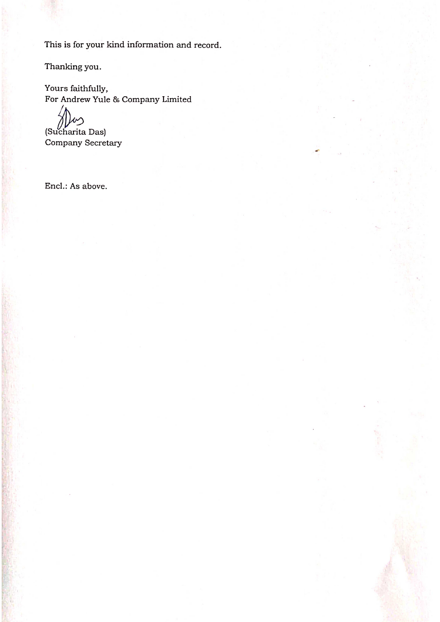This is for your kind information and record.

Thanking you.

Yours faithfully, For Andrew Yule & Company Limited

(Sucharita Das)

Company Secretary

Encl.: As above.